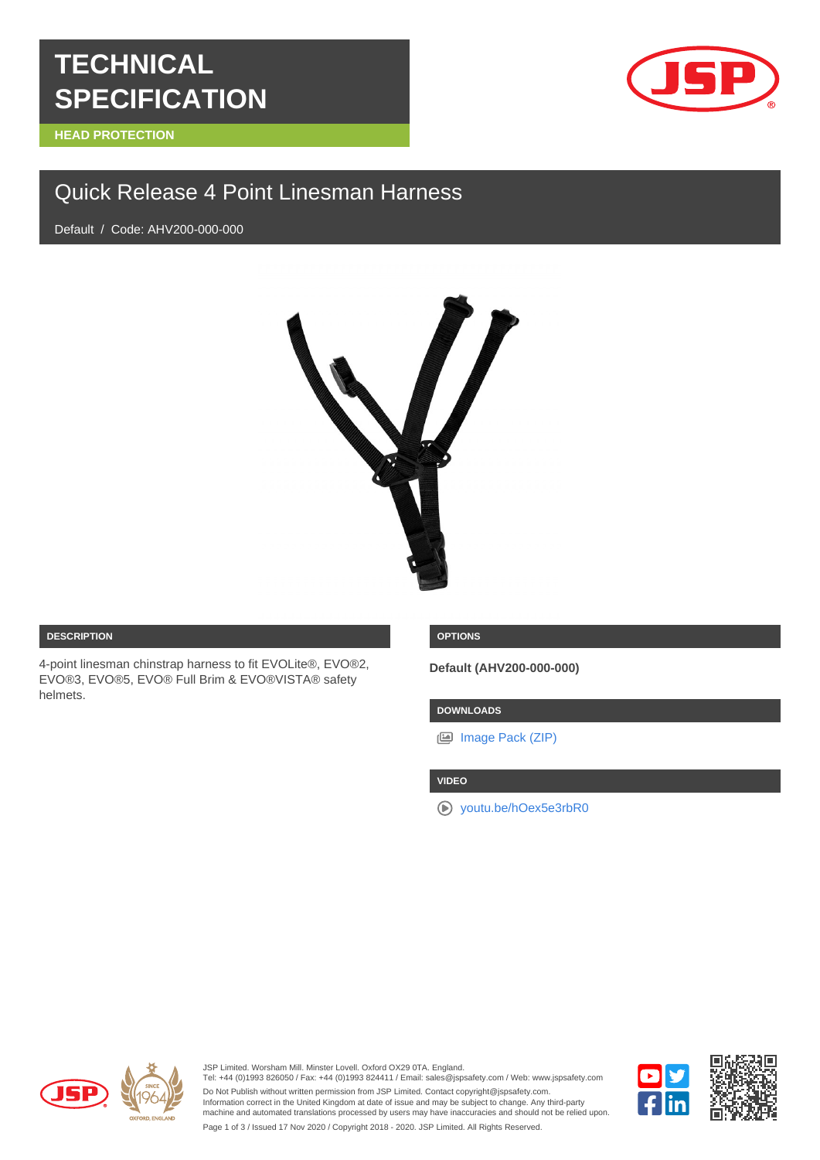# **TECHNICAL SPECIFICATION**

**HEAD PROTECTION**



# Quick Release 4 Point Linesman Harness

Default / Code: AHV200-000-000



#### **DESCRIPTION**

4-point linesman chinstrap harness to fit EVOLite®, EVO®2, EVO®3, EVO®5, EVO® Full Brim & EVO®VISTA® safety helmets.

### **OPTIONS**

**Default (AHV200-000-000)**

## **DOWNLOADS**

[Image Pack \(ZIP\)](https://cms.jspdigihub.com/get-image-pack/products/quick-release-4-point-linesman-harness)

#### **VIDEO**

[youtu.be/hOex5e3rbR0](https://youtu.be/hOex5e3rbR0)



JSP Limited. Worsham Mill. Minster Lovell. Oxford OX29 0TA. England.

Tel: +44 (0)1993 826050 / Fax: +44 (0)1993 824411 / Email: sales@jspsafety.com / Web: www.jspsafety.com Do Not Publish without written permission from JSP Limited. Contact copyright@jspsafety.com. Information correct in the United Kingdom at date of issue and may be subject to change. Any third-party machine and automated translations processed by users may have inaccuracies and should not be relied upon. Page 1 of 3 / Issued 17 Nov 2020 / Copyright 2018 - 2020. JSP Limited. All Rights Reserved.

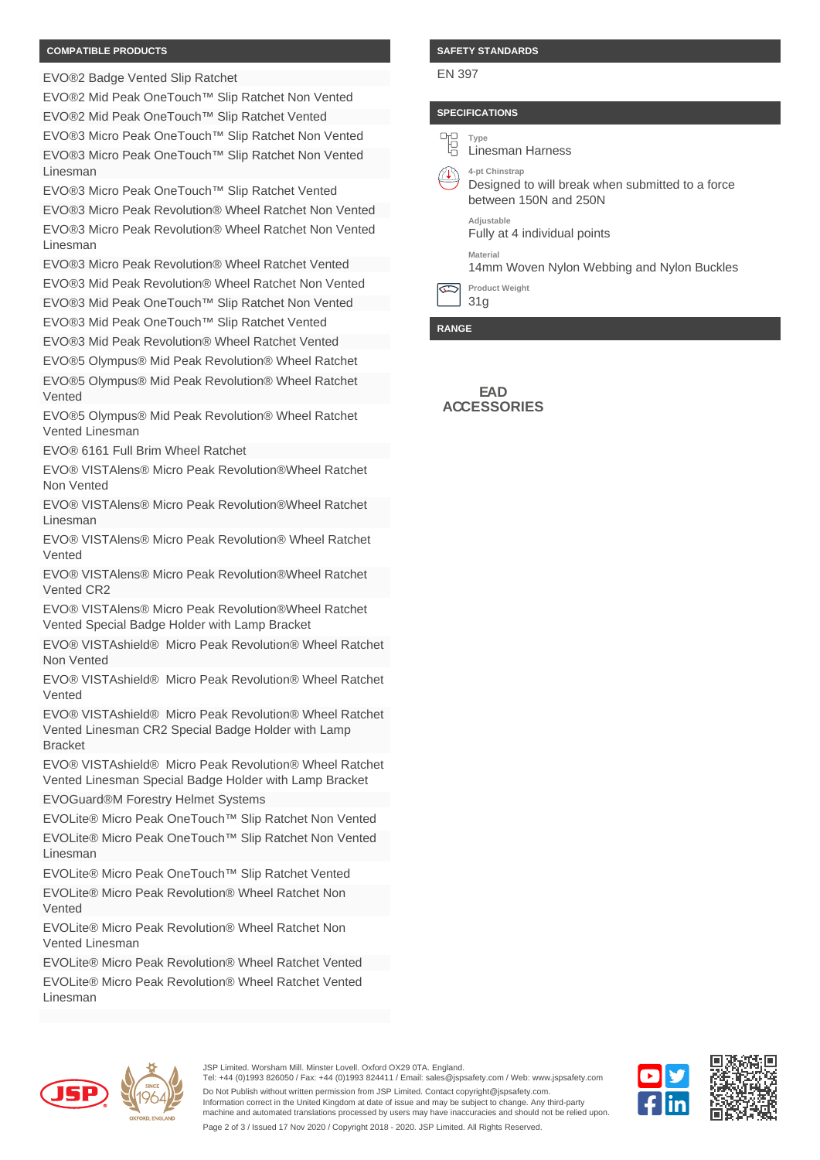#### **COMPATIBLE PRODUCTS**

EVO®2 Badge Vented Slip Ratchet

EVO®2 Mid Peak OneTouch™ Slip Ratchet Non Vented EVO®2 Mid Peak OneTouch™ Slip Ratchet Vented EVO®3 Micro Peak OneTouch™ Slip Ratchet Non Vented EVO®3 Micro Peak OneTouch™ Slip Ratchet Non Vented Linesman

EVO®3 Micro Peak OneTouch™ Slip Ratchet Vented

EVO®3 Micro Peak Revolution® Wheel Ratchet Non Vented EVO®3 Micro Peak Revolution® Wheel Ratchet Non Vented Linesman

EVO®3 Micro Peak Revolution® Wheel Ratchet Vented EVO®3 Mid Peak Revolution® Wheel Ratchet Non Vented EVO®3 Mid Peak OneTouch™ Slip Ratchet Non Vented

EVO®3 Mid Peak OneTouch™ Slip Ratchet Vented

EVO®3 Mid Peak Revolution® Wheel Ratchet Vented

EVO®5 Olympus® Mid Peak Revolution® Wheel Ratchet EVO®5 Olympus® Mid Peak Revolution® Wheel Ratchet Vented

EVO®5 Olympus® Mid Peak Revolution® Wheel Ratchet Vented Linesman

EVO® 6161 Full Brim Wheel Ratchet

EVO® VISTAlens® Micro Peak Revolution®Wheel Ratchet Non Vented

EVO® VISTAlens® Micro Peak Revolution®Wheel Ratchet Linesman

EVO® VISTAlens® Micro Peak Revolution® Wheel Ratchet Vented

EVO® VISTAlens® Micro Peak Revolution®Wheel Ratchet Vented CR2

EVO® VISTAlens® Micro Peak Revolution®Wheel Ratchet Vented Special Badge Holder with Lamp Bracket

EVO® VISTAshield® Micro Peak Revolution® Wheel Ratchet Non Vented

EVO® VISTAshield® Micro Peak Revolution® Wheel Ratchet Vented

EVO® VISTAshield® Micro Peak Revolution® Wheel Ratchet Vented Linesman CR2 Special Badge Holder with Lamp Bracket

EVO® VISTAshield® Micro Peak Revolution® Wheel Ratchet Vented Linesman Special Badge Holder with Lamp Bracket EVOGuard®M Forestry Helmet Systems

EVOLite® Micro Peak OneTouch™ Slip Ratchet Non Vented

EVOLite® Micro Peak OneTouch™ Slip Ratchet Non Vented Linesman

EVOLite® Micro Peak OneTouch™ Slip Ratchet Vented

EVOLite® Micro Peak Revolution® Wheel Ratchet Non Vented

EVOLite® Micro Peak Revolution® Wheel Ratchet Non Vented Linesman

EVOLite® Micro Peak Revolution® Wheel Ratchet Vented

EVOLite® Micro Peak Revolution® Wheel Ratchet Vented Linesman

#### **SAFETY STANDARDS**

EN 397

# **SPECIFICATIONS**



**RANGE**

**EAD ACCESSORIES**



JSP Limited. Worsham Mill. Minster Lovell. Oxford OX29 0TA. England. Tel: +44 (0)1993 826050 / Fax: +44 (0)1993 824411 / Email: sales@jspsafety.com / Web: www.jspsafety.com Do Not Publish without written permission from JSP Limited. Contact copyright@jspsafety.com. Information correct in the United Kingdom at date of issue and may be subject to change. Any third-party machine and automated translations processed by users may have inaccuracies and should not be relied upon. Page 2 of 3 / Issued 17 Nov 2020 / Copyright 2018 - 2020. JSP Limited. All Rights Reserved.